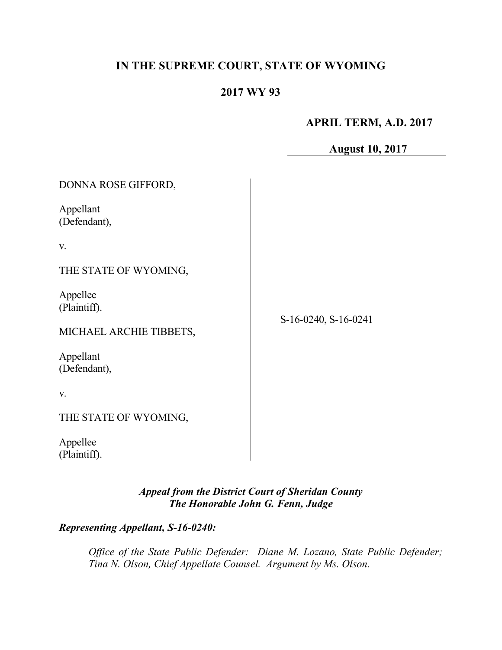# **IN THE SUPREME COURT, STATE OF WYOMING**

## **2017 WY 93**

## **APRIL TERM, A.D. 2017**

**August 10, 2017**

| DONNA ROSE GIFFORD,       |                      |
|---------------------------|----------------------|
| Appellant<br>(Defendant), |                      |
| V.                        |                      |
| THE STATE OF WYOMING,     |                      |
| Appellee<br>(Plaintiff).  |                      |
| MICHAEL ARCHIE TIBBETS,   | S-16-0240, S-16-0241 |
| Appellant<br>(Defendant), |                      |
| V.                        |                      |
| THE STATE OF WYOMING,     |                      |
|                           |                      |

Appellee (Plaintiff).

> *Appeal from the District Court of Sheridan County The Honorable John G. Fenn, Judge*

*Representing Appellant, S-16-0240:*

*Office of the State Public Defender: Diane M. Lozano, State Public Defender; Tina N. Olson, Chief Appellate Counsel. Argument by Ms. Olson.*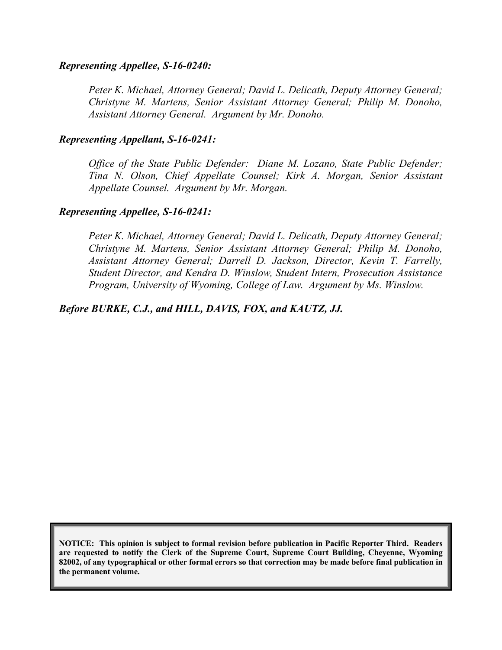### *Representing Appellee, S-16-0240:*

*Peter K. Michael, Attorney General; David L. Delicath, Deputy Attorney General; Christyne M. Martens, Senior Assistant Attorney General; Philip M. Donoho, Assistant Attorney General. Argument by Mr. Donoho.*

#### *Representing Appellant, S-16-0241:*

*Office of the State Public Defender: Diane M. Lozano, State Public Defender; Tina N. Olson, Chief Appellate Counsel; Kirk A. Morgan, Senior Assistant Appellate Counsel. Argument by Mr. Morgan.*

### *Representing Appellee, S-16-0241:*

*Peter K. Michael, Attorney General; David L. Delicath, Deputy Attorney General; Christyne M. Martens, Senior Assistant Attorney General; Philip M. Donoho, Assistant Attorney General; Darrell D. Jackson, Director, Kevin T. Farrelly, Student Director, and Kendra D. Winslow, Student Intern, Prosecution Assistance Program, University of Wyoming, College of Law. Argument by Ms. Winslow.*

*Before BURKE, C.J., and HILL, DAVIS, FOX, and KAUTZ, JJ.*

**NOTICE: This opinion is subject to formal revision before publication in Pacific Reporter Third. Readers are requested to notify the Clerk of the Supreme Court, Supreme Court Building, Cheyenne, Wyoming 82002, of any typographical or other formal errors so that correction may be made before final publication in the permanent volume.**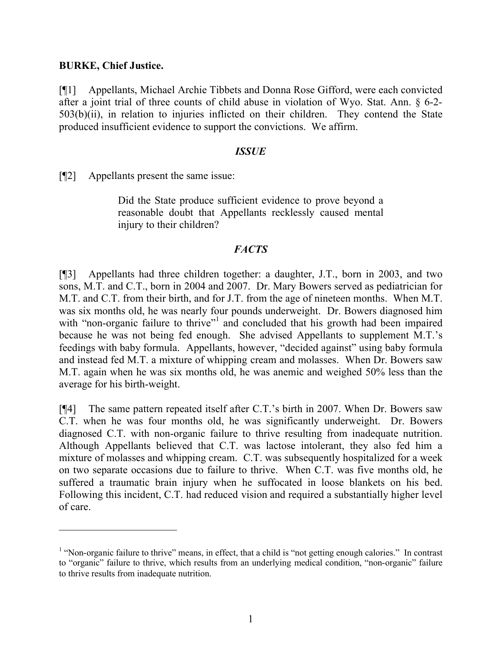## **BURKE, Chief Justice.**

 $\overline{a}$ 

[¶1] Appellants, Michael Archie Tibbets and Donna Rose Gifford, were each convicted after a joint trial of three counts of child abuse in violation of Wyo. Stat. Ann. § 6-2- 503(b)(ii), in relation to injuries inflicted on their children. They contend the State produced insufficient evidence to support the convictions. We affirm.

### *ISSUE*

[¶2] Appellants present the same issue:

Did the State produce sufficient evidence to prove beyond a reasonable doubt that Appellants recklessly caused mental injury to their children?

## *FACTS*

[¶3] Appellants had three children together: a daughter, J.T., born in 2003, and two sons, M.T. and C.T., born in 2004 and 2007. Dr. Mary Bowers served as pediatrician for M.T. and C.T. from their birth, and for J.T. from the age of nineteen months. When M.T. was six months old, he was nearly four pounds underweight. Dr. Bowers diagnosed him with "non-organic failure to thrive"<sup>1</sup> and concluded that his growth had been impaired because he was not being fed enough. She advised Appellants to supplement M.T.'s feedings with baby formula. Appellants, however, "decided against" using baby formula and instead fed M.T. a mixture of whipping cream and molasses. When Dr. Bowers saw M.T. again when he was six months old, he was anemic and weighed 50% less than the average for his birth-weight.

[¶4] The same pattern repeated itself after C.T.'s birth in 2007. When Dr. Bowers saw C.T. when he was four months old, he was significantly underweight. Dr. Bowers diagnosed C.T. with non-organic failure to thrive resulting from inadequate nutrition. Although Appellants believed that C.T. was lactose intolerant, they also fed him a mixture of molasses and whipping cream. C.T. was subsequently hospitalized for a week on two separate occasions due to failure to thrive. When C.T. was five months old, he suffered a traumatic brain injury when he suffocated in loose blankets on his bed. Following this incident, C.T. had reduced vision and required a substantially higher level of care.

<sup>&</sup>lt;sup>1</sup> "Non-organic failure to thrive" means, in effect, that a child is "not getting enough calories." In contrast to "organic" failure to thrive, which results from an underlying medical condition, "non-organic" failure to thrive results from inadequate nutrition.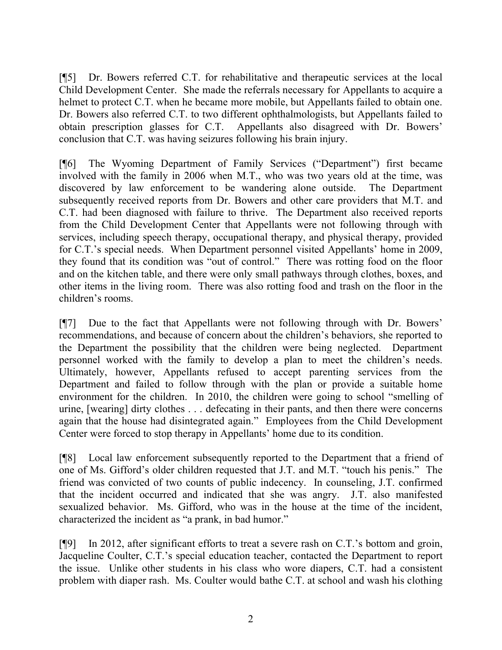[¶5] Dr. Bowers referred C.T. for rehabilitative and therapeutic services at the local Child Development Center. She made the referrals necessary for Appellants to acquire a helmet to protect C.T. when he became more mobile, but Appellants failed to obtain one. Dr. Bowers also referred C.T. to two different ophthalmologists, but Appellants failed to obtain prescription glasses for C.T. Appellants also disagreed with Dr. Bowers' conclusion that C.T. was having seizures following his brain injury.

[¶6] The Wyoming Department of Family Services ("Department") first became involved with the family in 2006 when M.T., who was two years old at the time, was discovered by law enforcement to be wandering alone outside. The Department subsequently received reports from Dr. Bowers and other care providers that M.T. and C.T. had been diagnosed with failure to thrive. The Department also received reports from the Child Development Center that Appellants were not following through with services, including speech therapy, occupational therapy, and physical therapy, provided for C.T.'s special needs. When Department personnel visited Appellants' home in 2009, they found that its condition was "out of control." There was rotting food on the floor and on the kitchen table, and there were only small pathways through clothes, boxes, and other items in the living room. There was also rotting food and trash on the floor in the children's rooms.

[¶7] Due to the fact that Appellants were not following through with Dr. Bowers' recommendations, and because of concern about the children's behaviors, she reported to the Department the possibility that the children were being neglected. Department personnel worked with the family to develop a plan to meet the children's needs. Ultimately, however, Appellants refused to accept parenting services from the Department and failed to follow through with the plan or provide a suitable home environment for the children. In 2010, the children were going to school "smelling of urine, [wearing] dirty clothes . . . defecating in their pants, and then there were concerns again that the house had disintegrated again." Employees from the Child Development Center were forced to stop therapy in Appellants' home due to its condition.

[¶8] Local law enforcement subsequently reported to the Department that a friend of one of Ms. Gifford's older children requested that J.T. and M.T. "touch his penis." The friend was convicted of two counts of public indecency. In counseling, J.T. confirmed that the incident occurred and indicated that she was angry. J.T. also manifested sexualized behavior. Ms. Gifford, who was in the house at the time of the incident, characterized the incident as "a prank, in bad humor."

[¶9] In 2012, after significant efforts to treat a severe rash on C.T.'s bottom and groin, Jacqueline Coulter, C.T.'s special education teacher, contacted the Department to report the issue. Unlike other students in his class who wore diapers, C.T. had a consistent problem with diaper rash. Ms. Coulter would bathe C.T. at school and wash his clothing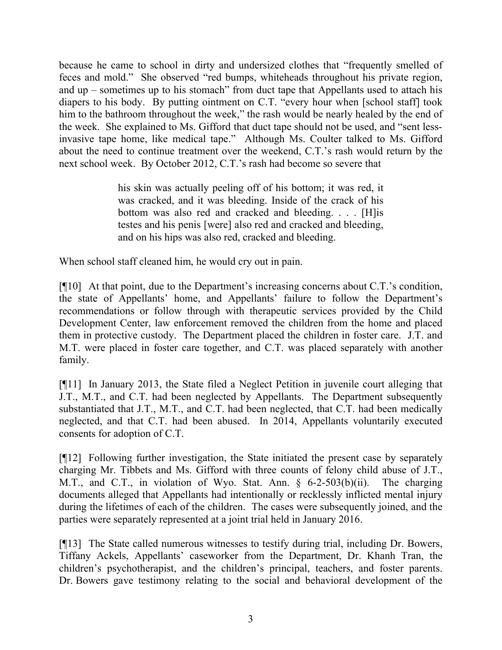because he came to school in dirty and undersized clothes that "frequently smelled of feces and mold." She observed "red bumps, whiteheads throughout his private region, and up – sometimes up to his stomach" from duct tape that Appellants used to attach his diapers to his body. By putting ointment on C.T. "every hour when [school staff] took him to the bathroom throughout the week," the rash would be nearly healed by the end of the week. She explained to Ms. Gifford that duct tape should not be used, and "sent lessinvasive tape home, like medical tape." Although Ms. Coulter talked to Ms. Gifford about the need to continue treatment over the weekend, C.T.'s rash would return by the next school week. By October 2012, C.T.'s rash had become so severe that

> his skin was actually peeling off of his bottom; it was red, it was cracked, and it was bleeding. Inside of the crack of his bottom was also red and cracked and bleeding. . . . [H]is testes and his penis [were] also red and cracked and bleeding, and on his hips was also red, cracked and bleeding.

When school staff cleaned him, he would cry out in pain.

[¶10] At that point, due to the Department's increasing concerns about C.T.'s condition, the state of Appellants' home, and Appellants' failure to follow the Department's recommendations or follow through with therapeutic services provided by the Child Development Center, law enforcement removed the children from the home and placed them in protective custody. The Department placed the children in foster care. J.T. and M.T. were placed in foster care together, and C.T. was placed separately with another family.

[¶11] In January 2013, the State filed a Neglect Petition in juvenile court alleging that J.T., M.T., and C.T. had been neglected by Appellants. The Department subsequently substantiated that J.T., M.T., and C.T. had been neglected, that C.T. had been medically neglected, and that C.T. had been abused. In 2014, Appellants voluntarily executed consents for adoption of C.T.

[¶12] Following further investigation, the State initiated the present case by separately charging Mr. Tibbets and Ms. Gifford with three counts of felony child abuse of J.T., M.T., and C.T., in violation of Wyo. Stat. Ann. § 6-2-503(b)(ii). The charging documents alleged that Appellants had intentionally or recklessly inflicted mental injury during the lifetimes of each of the children. The cases were subsequently joined, and the parties were separately represented at a joint trial held in January 2016.

[¶13] The State called numerous witnesses to testify during trial, including Dr. Bowers, Tiffany Ackels, Appellants' caseworker from the Department, Dr. Khanh Tran, the children's psychotherapist, and the children's principal, teachers, and foster parents. Dr. Bowers gave testimony relating to the social and behavioral development of the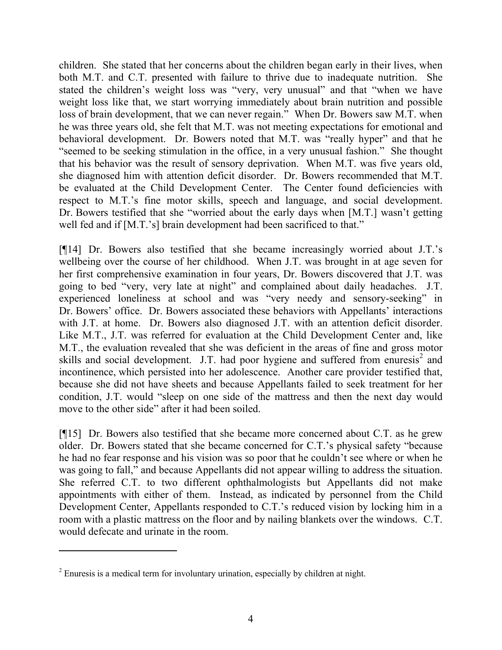children. She stated that her concerns about the children began early in their lives, when both M.T. and C.T. presented with failure to thrive due to inadequate nutrition. She stated the children's weight loss was "very, very unusual" and that "when we have weight loss like that, we start worrying immediately about brain nutrition and possible loss of brain development, that we can never regain." When Dr. Bowers saw M.T. when he was three years old, she felt that M.T. was not meeting expectations for emotional and behavioral development. Dr. Bowers noted that M.T. was "really hyper" and that he "seemed to be seeking stimulation in the office, in a very unusual fashion." She thought that his behavior was the result of sensory deprivation. When M.T. was five years old, she diagnosed him with attention deficit disorder. Dr. Bowers recommended that M.T. be evaluated at the Child Development Center. The Center found deficiencies with respect to M.T.'s fine motor skills, speech and language, and social development. Dr. Bowers testified that she "worried about the early days when [M.T.] wasn't getting well fed and if [M.T.'s] brain development had been sacrificed to that."

[¶14] Dr. Bowers also testified that she became increasingly worried about J.T.'s wellbeing over the course of her childhood. When J.T. was brought in at age seven for her first comprehensive examination in four years, Dr. Bowers discovered that J.T. was going to bed "very, very late at night" and complained about daily headaches. J.T. experienced loneliness at school and was "very needy and sensory-seeking" in Dr. Bowers' office. Dr. Bowers associated these behaviors with Appellants' interactions with J.T. at home. Dr. Bowers also diagnosed J.T. with an attention deficit disorder. Like M.T., J.T. was referred for evaluation at the Child Development Center and, like M.T., the evaluation revealed that she was deficient in the areas of fine and gross motor skills and social development. J.T. had poor hygiene and suffered from enuresis<sup>2</sup> and incontinence, which persisted into her adolescence. Another care provider testified that, because she did not have sheets and because Appellants failed to seek treatment for her condition, J.T. would "sleep on one side of the mattress and then the next day would move to the other side" after it had been soiled.

[¶15] Dr. Bowers also testified that she became more concerned about C.T. as he grew older. Dr. Bowers stated that she became concerned for C.T.'s physical safety "because he had no fear response and his vision was so poor that he couldn't see where or when he was going to fall," and because Appellants did not appear willing to address the situation. She referred C.T. to two different ophthalmologists but Appellants did not make appointments with either of them. Instead, as indicated by personnel from the Child Development Center, Appellants responded to C.T.'s reduced vision by locking him in a room with a plastic mattress on the floor and by nailing blankets over the windows. C.T. would defecate and urinate in the room.

 $\overline{a}$ 

<sup>&</sup>lt;sup>2</sup> Enuresis is a medical term for involuntary urination, especially by children at night.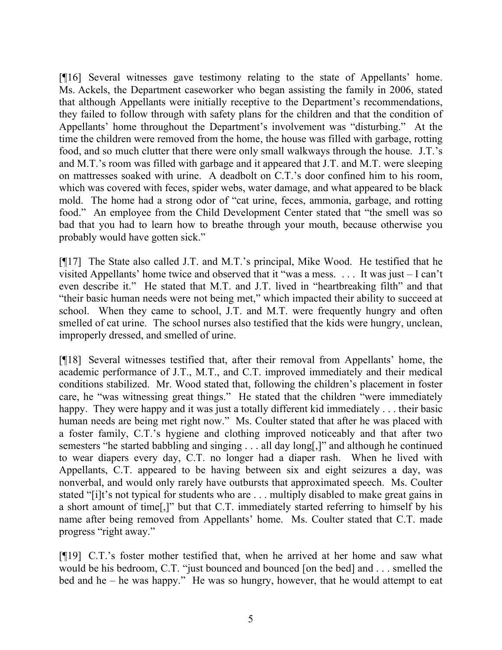[¶16] Several witnesses gave testimony relating to the state of Appellants' home. Ms. Ackels, the Department caseworker who began assisting the family in 2006, stated that although Appellants were initially receptive to the Department's recommendations, they failed to follow through with safety plans for the children and that the condition of Appellants' home throughout the Department's involvement was "disturbing." At the time the children were removed from the home, the house was filled with garbage, rotting food, and so much clutter that there were only small walkways through the house. J.T.'s and M.T.'s room was filled with garbage and it appeared that J.T. and M.T. were sleeping on mattresses soaked with urine. A deadbolt on C.T.'s door confined him to his room, which was covered with feces, spider webs, water damage, and what appeared to be black mold. The home had a strong odor of "cat urine, feces, ammonia, garbage, and rotting food." An employee from the Child Development Center stated that "the smell was so bad that you had to learn how to breathe through your mouth, because otherwise you probably would have gotten sick."

[¶17] The State also called J.T. and M.T.'s principal, Mike Wood. He testified that he visited Appellants' home twice and observed that it "was a mess. . . . It was just – I can't even describe it." He stated that M.T. and J.T. lived in "heartbreaking filth" and that "their basic human needs were not being met," which impacted their ability to succeed at school. When they came to school, J.T. and M.T. were frequently hungry and often smelled of cat urine. The school nurses also testified that the kids were hungry, unclean, improperly dressed, and smelled of urine.

[¶18] Several witnesses testified that, after their removal from Appellants' home, the academic performance of J.T., M.T., and C.T. improved immediately and their medical conditions stabilized. Mr. Wood stated that, following the children's placement in foster care, he "was witnessing great things." He stated that the children "were immediately happy. They were happy and it was just a totally different kid immediately . . . their basic human needs are being met right now." Ms. Coulter stated that after he was placed with a foster family, C.T.'s hygiene and clothing improved noticeably and that after two semesters "he started babbling and singing . . . all day long[,]" and although he continued to wear diapers every day, C.T. no longer had a diaper rash. When he lived with Appellants, C.T. appeared to be having between six and eight seizures a day, was nonverbal, and would only rarely have outbursts that approximated speech. Ms. Coulter stated "[i]t's not typical for students who are . . . multiply disabled to make great gains in a short amount of time[,]" but that C.T. immediately started referring to himself by his name after being removed from Appellants' home. Ms. Coulter stated that C.T. made progress "right away."

[¶19] C.T.'s foster mother testified that, when he arrived at her home and saw what would be his bedroom, C.T. "just bounced and bounced [on the bed] and . . . smelled the bed and he – he was happy." He was so hungry, however, that he would attempt to eat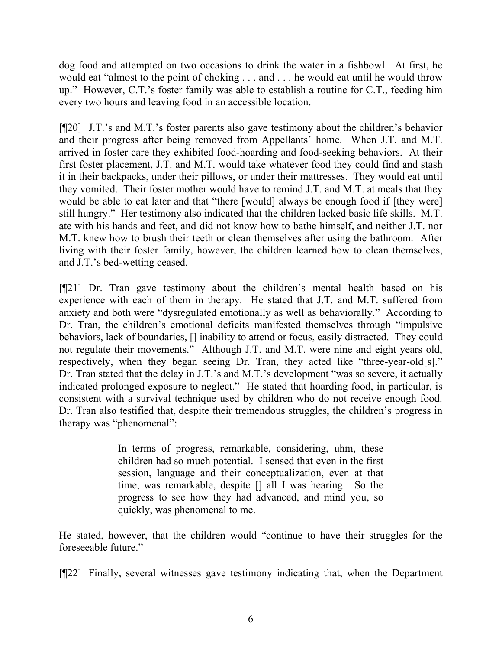dog food and attempted on two occasions to drink the water in a fishbowl. At first, he would eat "almost to the point of choking . . . and . . . he would eat until he would throw up." However, C.T.'s foster family was able to establish a routine for C.T., feeding him every two hours and leaving food in an accessible location.

[¶20] J.T.'s and M.T.'s foster parents also gave testimony about the children's behavior and their progress after being removed from Appellants' home. When J.T. and M.T. arrived in foster care they exhibited food-hoarding and food-seeking behaviors. At their first foster placement, J.T. and M.T. would take whatever food they could find and stash it in their backpacks, under their pillows, or under their mattresses. They would eat until they vomited. Their foster mother would have to remind J.T. and M.T. at meals that they would be able to eat later and that "there [would] always be enough food if [they were] still hungry." Her testimony also indicated that the children lacked basic life skills. M.T. ate with his hands and feet, and did not know how to bathe himself, and neither J.T. nor M.T. knew how to brush their teeth or clean themselves after using the bathroom. After living with their foster family, however, the children learned how to clean themselves, and J.T.'s bed-wetting ceased.

[¶21] Dr. Tran gave testimony about the children's mental health based on his experience with each of them in therapy. He stated that J.T. and M.T. suffered from anxiety and both were "dysregulated emotionally as well as behaviorally." According to Dr. Tran, the children's emotional deficits manifested themselves through "impulsive behaviors, lack of boundaries, [] inability to attend or focus, easily distracted. They could not regulate their movements." Although J.T. and M.T. were nine and eight years old, respectively, when they began seeing Dr. Tran, they acted like "three-year-old[s]." Dr. Tran stated that the delay in J.T.'s and M.T.'s development "was so severe, it actually indicated prolonged exposure to neglect." He stated that hoarding food, in particular, is consistent with a survival technique used by children who do not receive enough food. Dr. Tran also testified that, despite their tremendous struggles, the children's progress in therapy was "phenomenal":

> In terms of progress, remarkable, considering, uhm, these children had so much potential. I sensed that even in the first session, language and their conceptualization, even at that time, was remarkable, despite [] all I was hearing. So the progress to see how they had advanced, and mind you, so quickly, was phenomenal to me.

He stated, however, that the children would "continue to have their struggles for the foreseeable future."

[¶22] Finally, several witnesses gave testimony indicating that, when the Department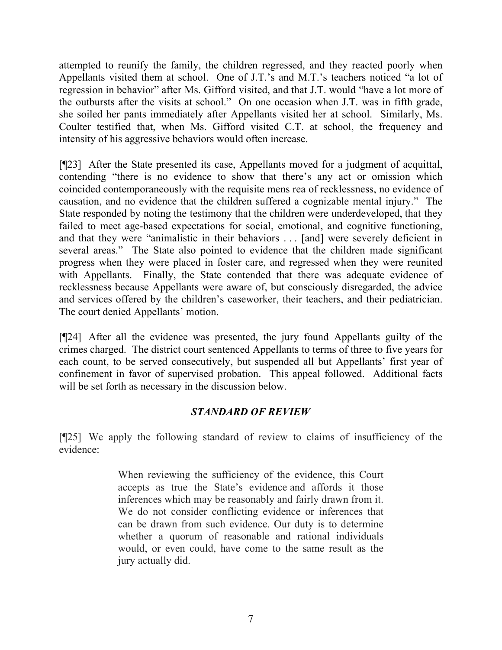attempted to reunify the family, the children regressed, and they reacted poorly when Appellants visited them at school. One of J.T.'s and M.T.'s teachers noticed "a lot of regression in behavior" after Ms. Gifford visited, and that J.T. would "have a lot more of the outbursts after the visits at school." On one occasion when J.T. was in fifth grade, she soiled her pants immediately after Appellants visited her at school. Similarly, Ms. Coulter testified that, when Ms. Gifford visited C.T. at school, the frequency and intensity of his aggressive behaviors would often increase.

[¶23] After the State presented its case, Appellants moved for a judgment of acquittal, contending "there is no evidence to show that there's any act or omission which coincided contemporaneously with the requisite mens rea of recklessness, no evidence of causation, and no evidence that the children suffered a cognizable mental injury." The State responded by noting the testimony that the children were underdeveloped, that they failed to meet age-based expectations for social, emotional, and cognitive functioning, and that they were "animalistic in their behaviors . . . [and] were severely deficient in several areas." The State also pointed to evidence that the children made significant progress when they were placed in foster care, and regressed when they were reunited with Appellants. Finally, the State contended that there was adequate evidence of recklessness because Appellants were aware of, but consciously disregarded, the advice and services offered by the children's caseworker, their teachers, and their pediatrician. The court denied Appellants' motion.

[¶24] After all the evidence was presented, the jury found Appellants guilty of the crimes charged. The district court sentenced Appellants to terms of three to five years for each count, to be served consecutively, but suspended all but Appellants' first year of confinement in favor of supervised probation. This appeal followed. Additional facts will be set forth as necessary in the discussion below.

## *STANDARD OF REVIEW*

[¶25] We apply the following standard of review to claims of insufficiency of the evidence:

> When reviewing the sufficiency of the evidence, this Court accepts as true the State's evidence and affords it those inferences which may be reasonably and fairly drawn from it. We do not consider conflicting evidence or inferences that can be drawn from such evidence. Our duty is to determine whether a quorum of reasonable and rational individuals would, or even could, have come to the same result as the jury actually did.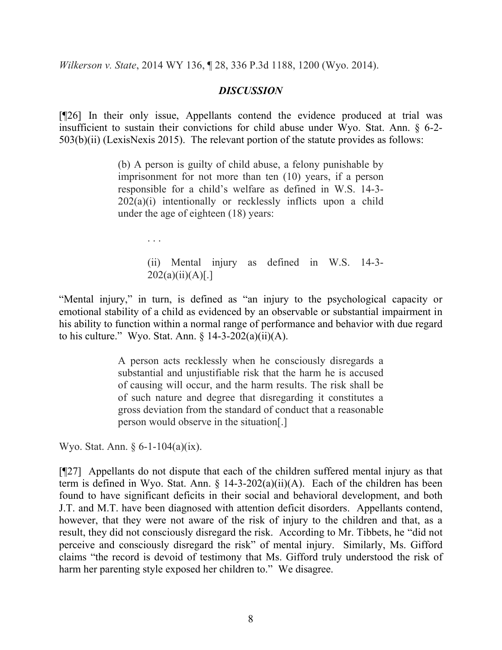*Wilkerson v. State*, 2014 WY 136, ¶ 28, 336 P.3d 1188, 1200 (Wyo. 2014).

### *DISCUSSION*

[¶26] In their only issue, Appellants contend the evidence produced at trial was insufficient to sustain their convictions for child abuse under Wyo. Stat. Ann. § 6-2- 503(b)(ii) (LexisNexis 2015). The relevant portion of the statute provides as follows:

> (b) A person is guilty of child abuse, a felony punishable by imprisonment for not more than ten (10) years, if a person responsible for a child's welfare as defined in W.S. 14-3- 202(a)(i) intentionally or recklessly inflicts upon a child under the age of eighteen (18) years:

> > (ii) Mental injury as defined in W.S. 14-3-  $202(a)(ii)(A)[.]$

"Mental injury," in turn, is defined as "an injury to the psychological capacity or emotional stability of a child as evidenced by an observable or substantial impairment in his ability to function within a normal range of performance and behavior with due regard to his culture." Wyo. Stat. Ann.  $\S$  14-3-202(a)(ii)(A).

> A person acts recklessly when he consciously disregards a substantial and unjustifiable risk that the harm he is accused of causing will occur, and the harm results. The risk shall be of such nature and degree that disregarding it constitutes a gross deviation from the standard of conduct that a reasonable person would observe in the situation[.]

Wyo. Stat. Ann. § 6-1-104(a)(ix).

. . .

[¶27] Appellants do not dispute that each of the children suffered mental injury as that term is defined in Wyo. Stat. Ann.  $\S$  14-3-202(a)(ii)(A). Each of the children has been found to have significant deficits in their social and behavioral development, and both J.T. and M.T. have been diagnosed with attention deficit disorders. Appellants contend, however, that they were not aware of the risk of injury to the children and that, as a result, they did not consciously disregard the risk. According to Mr. Tibbets, he "did not perceive and consciously disregard the risk" of mental injury. Similarly, Ms. Gifford claims "the record is devoid of testimony that Ms. Gifford truly understood the risk of harm her parenting style exposed her children to." We disagree.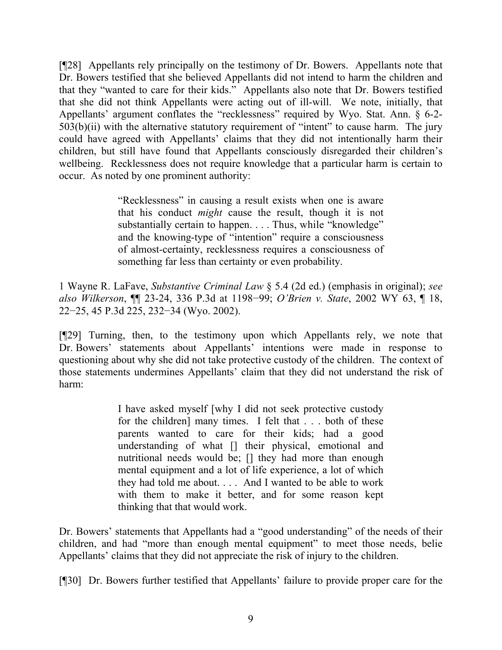[¶28] Appellants rely principally on the testimony of Dr. Bowers. Appellants note that Dr. Bowers testified that she believed Appellants did not intend to harm the children and that they "wanted to care for their kids." Appellants also note that Dr. Bowers testified that she did not think Appellants were acting out of ill-will. We note, initially, that Appellants' argument conflates the "recklessness" required by Wyo. Stat. Ann. § 6-2-  $503(b)(ii)$  with the alternative statutory requirement of "intent" to cause harm. The jury could have agreed with Appellants' claims that they did not intentionally harm their children, but still have found that Appellants consciously disregarded their children's wellbeing. Recklessness does not require knowledge that a particular harm is certain to occur. As noted by one prominent authority:

> "Recklessness" in causing a result exists when one is aware that his conduct *might* cause the result, though it is not substantially certain to happen. . . . Thus, while "knowledge" and the knowing-type of "intention" require a consciousness of almost-certainty, recklessness requires a consciousness of something far less than certainty or even probability.

1 Wayne R. LaFave, *Substantive Criminal Law* § 5.4 (2d ed.) (emphasis in original); *see also Wilkerson*, ¶¶ 23-24, 336 P.3d at 1198−99; *O'Brien v. State*, 2002 WY 63, ¶ 18, 22−25, 45 P.3d 225, 232−34 (Wyo. 2002).

[¶29] Turning, then, to the testimony upon which Appellants rely, we note that Dr. Bowers' statements about Appellants' intentions were made in response to questioning about why she did not take protective custody of the children. The context of those statements undermines Appellants' claim that they did not understand the risk of harm:

> I have asked myself [why I did not seek protective custody for the children] many times. I felt that . . . both of these parents wanted to care for their kids; had a good understanding of what [] their physical, emotional and nutritional needs would be; [] they had more than enough mental equipment and a lot of life experience, a lot of which they had told me about. . . . And I wanted to be able to work with them to make it better, and for some reason kept thinking that that would work.

Dr. Bowers' statements that Appellants had a "good understanding" of the needs of their children, and had "more than enough mental equipment" to meet those needs, belie Appellants' claims that they did not appreciate the risk of injury to the children.

[¶30] Dr. Bowers further testified that Appellants' failure to provide proper care for the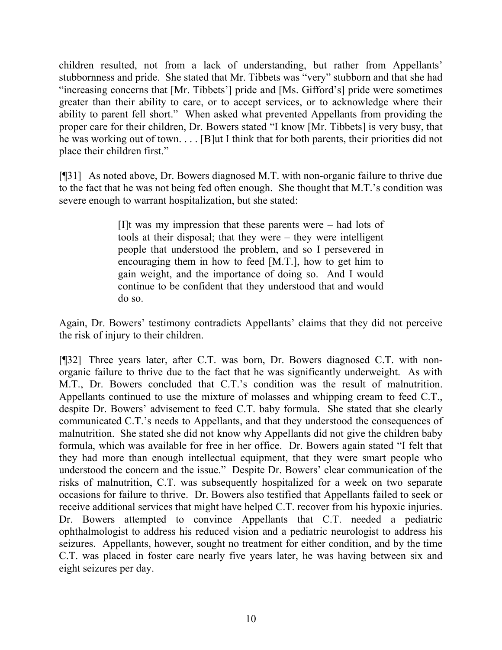children resulted, not from a lack of understanding, but rather from Appellants' stubbornness and pride. She stated that Mr. Tibbets was "very" stubborn and that she had "increasing concerns that [Mr. Tibbets'] pride and [Ms. Gifford's] pride were sometimes greater than their ability to care, or to accept services, or to acknowledge where their ability to parent fell short." When asked what prevented Appellants from providing the proper care for their children, Dr. Bowers stated "I know [Mr. Tibbets] is very busy, that he was working out of town. . . . [B]ut I think that for both parents, their priorities did not place their children first."

[¶31] As noted above, Dr. Bowers diagnosed M.T. with non-organic failure to thrive due to the fact that he was not being fed often enough. She thought that M.T.'s condition was severe enough to warrant hospitalization, but she stated:

> [I]t was my impression that these parents were – had lots of tools at their disposal; that they were – they were intelligent people that understood the problem, and so I persevered in encouraging them in how to feed [M.T.], how to get him to gain weight, and the importance of doing so. And I would continue to be confident that they understood that and would do so.

Again, Dr. Bowers' testimony contradicts Appellants' claims that they did not perceive the risk of injury to their children.

[¶32] Three years later, after C.T. was born, Dr. Bowers diagnosed C.T. with nonorganic failure to thrive due to the fact that he was significantly underweight. As with M.T., Dr. Bowers concluded that C.T.'s condition was the result of malnutrition. Appellants continued to use the mixture of molasses and whipping cream to feed C.T., despite Dr. Bowers' advisement to feed C.T. baby formula. She stated that she clearly communicated C.T.'s needs to Appellants, and that they understood the consequences of malnutrition. She stated she did not know why Appellants did not give the children baby formula, which was available for free in her office. Dr. Bowers again stated "I felt that they had more than enough intellectual equipment, that they were smart people who understood the concern and the issue." Despite Dr. Bowers' clear communication of the risks of malnutrition, C.T. was subsequently hospitalized for a week on two separate occasions for failure to thrive. Dr. Bowers also testified that Appellants failed to seek or receive additional services that might have helped C.T. recover from his hypoxic injuries. Dr. Bowers attempted to convince Appellants that C.T. needed a pediatric ophthalmologist to address his reduced vision and a pediatric neurologist to address his seizures. Appellants, however, sought no treatment for either condition, and by the time C.T. was placed in foster care nearly five years later, he was having between six and eight seizures per day.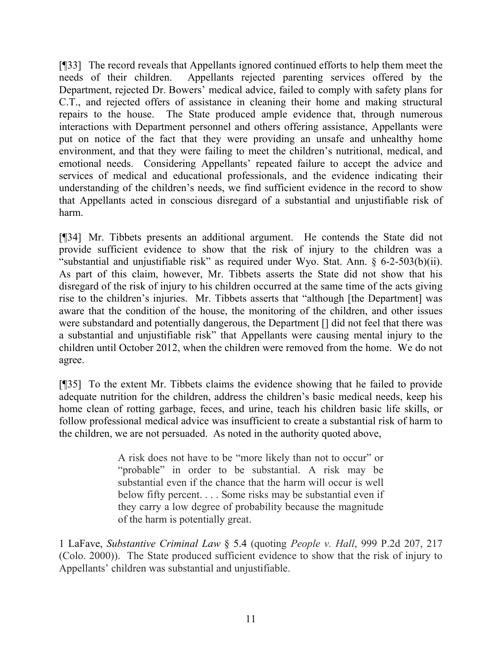[¶33] The record reveals that Appellants ignored continued efforts to help them meet the needs of their children. Appellants rejected parenting services offered by the Department, rejected Dr. Bowers' medical advice, failed to comply with safety plans for C.T., and rejected offers of assistance in cleaning their home and making structural repairs to the house. The State produced ample evidence that, through numerous interactions with Department personnel and others offering assistance, Appellants were put on notice of the fact that they were providing an unsafe and unhealthy home environment, and that they were failing to meet the children's nutritional, medical, and emotional needs. Considering Appellants' repeated failure to accept the advice and services of medical and educational professionals, and the evidence indicating their understanding of the children's needs, we find sufficient evidence in the record to show that Appellants acted in conscious disregard of a substantial and unjustifiable risk of harm.

[¶34] Mr. Tibbets presents an additional argument. He contends the State did not provide sufficient evidence to show that the risk of injury to the children was a "substantial and unjustifiable risk" as required under Wyo. Stat. Ann. § 6-2-503(b)(ii). As part of this claim, however, Mr. Tibbets asserts the State did not show that his disregard of the risk of injury to his children occurred at the same time of the acts giving rise to the children's injuries. Mr. Tibbets asserts that "although [the Department] was aware that the condition of the house, the monitoring of the children, and other issues were substandard and potentially dangerous, the Department [] did not feel that there was a substantial and unjustifiable risk" that Appellants were causing mental injury to the children until October 2012, when the children were removed from the home. We do not agree.

[¶35] To the extent Mr. Tibbets claims the evidence showing that he failed to provide adequate nutrition for the children, address the children's basic medical needs, keep his home clean of rotting garbage, feces, and urine, teach his children basic life skills, or follow professional medical advice was insufficient to create a substantial risk of harm to the children, we are not persuaded. As noted in the authority quoted above,

> A risk does not have to be "more likely than not to occur" or "probable" in order to be substantial. A risk may be substantial even if the chance that the harm will occur is well below fifty percent. . . . Some risks may be substantial even if they carry a low degree of probability because the magnitude of the harm is potentially great.

1 LaFave, *Substantive Criminal Law* § 5.4 (quoting *People v. Hall*, 999 P.2d 207, 217 (Colo. 2000)). The State produced sufficient evidence to show that the risk of injury to Appellants' children was substantial and unjustifiable.